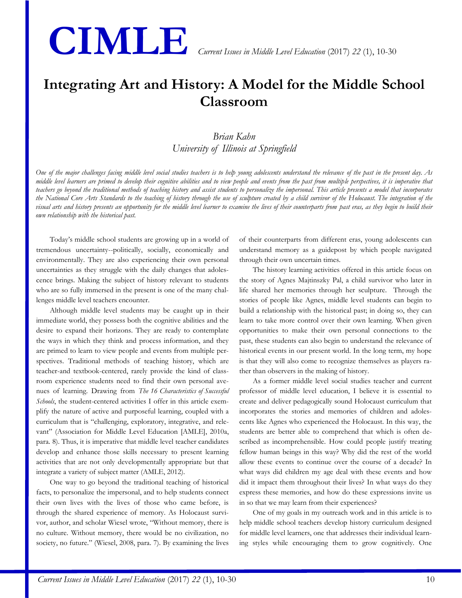# **CIMLE** *Current Issues in Middle Level Education* (2017) *22* (1), 10-30

## **Integrating Art and History: A Model for the Middle School Classroom**

### *Brian Kahn University of Illinois at Springfield*

*One of the major challenges facing middle level social studies teachers is to help young adolescents understand the relevance of the past in the present day. As middle level learners are primed to develop their cognitive abilities and to view people and events from the past from multiple perspectives, it is imperative that teachers go beyond the traditional methods of teaching history and assist students to personalize the impersonal. This article presents a model that incorporates the National Core Arts Standards to the teaching of history through the use of sculpture created by a child survivor of the Holocaust. The integration of the visual arts and history presents an opportunity for the middle level learner to examine the lives of their counterparts from past eras, as they begin to build their own relationship with the historical past.*

Today's middle school students are growing up in a world of tremendous uncertainty--politically, socially, economically and environmentally. They are also experiencing their own personal uncertainties as they struggle with the daily changes that adolescence brings. Making the subject of history relevant to students who are so fully immersed in the present is one of the many challenges middle level teachers encounter.

Although middle level students may be caught up in their immediate world, they possess both the cognitive abilities and the desire to expand their horizons. They are ready to contemplate the ways in which they think and process information, and they are primed to learn to view people and events from multiple perspectives. Traditional methods of teaching history, which are teacher-and textbook-centered, rarely provide the kind of classroom experience students need to find their own personal avenues of learning. Drawing from *The 16 Characteristics of Successful Schools*, the student-centered activities I offer in this article exemplify the nature of active and purposeful learning, coupled with a curriculum that is "challenging, exploratory, integrative, and relevant" (Association for Middle Level Education [AMLE], 2010a, para. 8). Thus, it is imperative that middle level teacher candidates develop and enhance those skills necessary to present learning activities that are not only developmentally appropriate but that integrate a variety of subject matter (AMLE, 2012).

One way to go beyond the traditional teaching of historical facts, to personalize the impersonal, and to help students connect their own lives with the lives of those who came before, is through the shared experience of memory. As Holocaust survivor, author, and scholar Wiesel wrote, "Without memory, there is no culture. Without memory, there would be no civilization, no society, no future." (Wiesel, 2008, para. 7). By examining the lives

of their counterparts from different eras, young adolescents can understand memory as a guidepost by which people navigated through their own uncertain times.

The history learning activities offered in this article focus on the story of Agnes Majtinszky Pal, a child survivor who later in life shared her memories through her sculpture. Through the stories of people like Agnes, middle level students can begin to build a relationship with the historical past; in doing so, they can learn to take more control over their own learning. When given opportunities to make their own personal connections to the past, these students can also begin to understand the relevance of historical events in our present world. In the long term, my hope is that they will also come to recognize themselves as players rather than observers in the making of history.

As a former middle level social studies teacher and current professor of middle level education, I believe it is essential to create and deliver pedagogically sound Holocaust curriculum that incorporates the stories and memories of children and adolescents like Agnes who experienced the Holocaust. In this way, the students are better able to comprehend that which is often described as incomprehensible. How could people justify treating fellow human beings in this way? Why did the rest of the world allow these events to continue over the course of a decade? In what ways did children my age deal with these events and how did it impact them throughout their lives? In what ways do they express these memories, and how do these expressions invite us in so that we may learn from their experiences?

One of my goals in my outreach work and in this article is to help middle school teachers develop history curriculum designed for middle level learners, one that addresses their individual learning styles while encouraging them to grow cognitively. One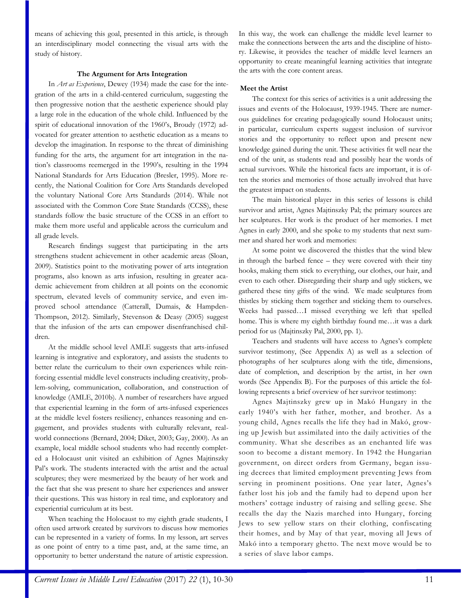means of achieving this goal, presented in this article, is through an interdisciplinary model connecting the visual arts with the study of history.

#### **The Argument for Arts Integration**

In *Art as Experience*, Dewey (1934) made the case for the integration of the arts in a child-centered curriculum, suggesting the then progressive notion that the aesthetic experience should play a large role in the education of the whole child. Influenced by the spirit of educational innovation of the 1960's, Broudy (1972) advocated for greater attention to aesthetic education as a means to develop the imagination. In response to the threat of diminishing funding for the arts, the argument for art integration in the nation's classrooms reemerged in the 1990's, resulting in the 1994 National Standards for Arts Education (Bresler, 1995). More recently, the National Coalition for Core Arts Standards developed the voluntary National Core Arts Standards (2014). While not associated with the Common Core State Standards (CCSS), these standards follow the basic structure of the CCSS in an effort to make them more useful and applicable across the curriculum and all grade levels.

Research findings suggest that participating in the arts strengthens student achievement in other academic areas (Sloan, 2009). Statistics point to the motivating power of arts integration programs, also known as arts infusion, resulting in greater academic achievement from children at all points on the economic spectrum, elevated levels of community service, and even improved school attendance (Catterall, Dumais, & Hampden-Thompson, 2012). Similarly, Stevenson & Deasy (2005) suggest that the infusion of the arts can empower disenfranchised children.

At the middle school level AMLE suggests that arts-infused learning is integrative and exploratory, and assists the students to better relate the curriculum to their own experiences while reinforcing essential middle level constructs including creativity, problem-solving, communication, collaboration, and construction of knowledge (AMLE, 2010b). A number of researchers have argued that experiential learning in the form of arts-infused experiences at the middle level fosters resiliency, enhances reasoning and engagement, and provides students with culturally relevant, realworld connections (Bernard, 2004; Diket, 2003; Gay, 2000). As an example, local middle school students who had recently completed a Holocaust unit visited an exhibition of Agnes Majtinszky Pal's work. The students interacted with the artist and the actual sculptures; they were mesmerized by the beauty of her work and the fact that she was present to share her experiences and answer their questions. This was history in real time, and exploratory and experiential curriculum at its best.

When teaching the Holocaust to my eighth grade students, I often used artwork created by survivors to discuss how memories can be represented in a variety of forms. In my lesson, art serves as one point of entry to a time past, and, at the same time, an opportunity to better understand the nature of artistic expression. In this way, the work can challenge the middle level learner to make the connections between the arts and the discipline of history. Likewise, it provides the teacher of middle level learners an opportunity to create meaningful learning activities that integrate the arts with the core content areas.

#### **Meet the Artist**

The context for this series of activities is a unit addressing the issues and events of the Holocaust, 1939-1945. There are numerous guidelines for creating pedagogically sound Holocaust units; in particular, curriculum experts suggest inclusion of survivor stories and the opportunity to reflect upon and present new knowledge gained during the unit. These activities fit well near the end of the unit, as students read and possibly hear the words of actual survivors. While the historical facts are important, it is often the stories and memories of those actually involved that have the greatest impact on students.

The main historical player in this series of lessons is child survivor and artist, Agnes Majtinszky Pal; the primary sources are her sculptures. Her work is the product of her memories. I met Agnes in early 2000, and she spoke to my students that next summer and shared her work and memories:

At some point we discovered the thistles that the wind blew in through the barbed fence – they were covered with their tiny hooks, making them stick to everything, our clothes, our hair, and even to each other. Disregarding their sharp and ugly stickers, we gathered these tiny gifts of the wind. We made sculptures from thistles by sticking them together and sticking them to ourselves. Weeks had passed…I missed everything we left that spelled home. This is where my eighth birthday found me…it was a dark period for us (Majtinszky Pal, 2000, pp. 1).

Teachers and students will have access to Agnes's complete survivor testimony, (See Appendix A) as well as a selection of photographs of her sculptures along with the title, dimensions, date of completion, and description by the artist, in her own words (See Appendix B). For the purposes of this article the following represents a brief overview of her survivor testimony:

Agnes Majtinszky grew up in Makó Hungary in the early 1940's with her father, mother, and brother. As a young child, Agnes recalls the life they had in Makó, growing up Jewish but assimilated into the daily activities of the community. What she describes as an enchanted life was soon to become a distant memory. In 1942 the Hungarian government, on direct orders from Germany, began issuing decrees that limited employment preventing Jews from serving in prominent positions. One year later, Agnes's father lost his job and the family had to depend upon her mothers' cottage industry of raising and selling geese. She recalls the day the Nazis marched into Hungary, forcing Jews to sew yellow stars on their clothing, confiscating their homes, and by May of that year, moving all Jews of Makó into a temporary ghetto. The next move would be to a series of slave labor camps.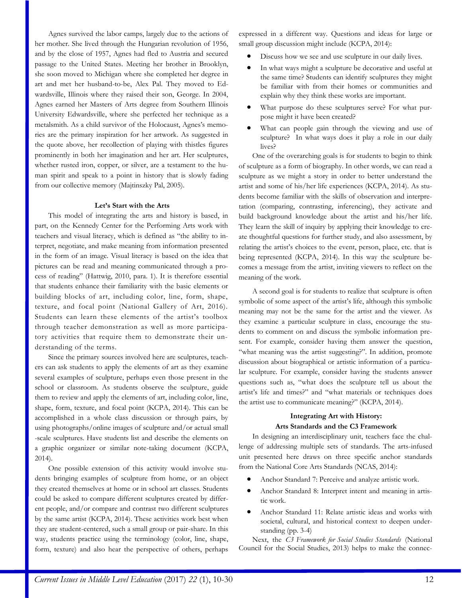Agnes survived the labor camps, largely due to the actions of her mother. She lived through the Hungarian revolution of 1956, and by the close of 1957, Agnes had fled to Austria and secured passage to the United States. Meeting her brother in Brooklyn, she soon moved to Michigan where she completed her degree in art and met her husband-to-be, Alex Pal. They moved to Edwardsville, Illinois where they raised their son, George. In 2004, Agnes earned her Masters of Arts degree from Southern Illinois University Edwardsville, where she perfected her technique as a metalsmith. As a child survivor of the Holocaust, Agnes's memories are the primary inspiration for her artwork. As suggested in the quote above, her recollection of playing with thistles figures prominently in both her imagination and her art. Her sculptures, whether rusted iron, copper, or silver, are a testament to the human spirit and speak to a point in history that is slowly fading from our collective memory (Majtinszky Pal, 2005).

#### **Let's Start with the Arts**

This model of integrating the arts and history is based, in part, on the Kennedy Center for the Performing Arts work with teachers and visual literacy, which is defined as "the ability to interpret, negotiate, and make meaning from information presented in the form of an image. Visual literacy is based on the idea that pictures can be read and meaning communicated through a process of reading" (Hattwig, 2010, para. 1). It is therefore essential that students enhance their familiarity with the basic elements or building blocks of art, including color, line, form, shape, texture, and focal point (National Gallery of Art, 2016). Students can learn these elements of the artist's toolbox through teacher demonstration as well as more participatory activities that require them to demonstrate their understanding of the terms.

Since the primary sources involved here are sculptures, teachers can ask students to apply the elements of art as they examine several examples of sculpture, perhaps even those present in the school or classroom. As students observe the sculpture, guide them to review and apply the elements of art, including color, line, shape, form, texture, and focal point (KCPA, 2014). This can be accomplished in a whole class discussion or through pairs, by using photographs/online images of sculpture and/or actual small -scale sculptures. Have students list and describe the elements on a graphic organizer or similar note-taking document (KCPA, 2014).

One possible extension of this activity would involve students bringing examples of sculpture from home, or an object they created themselves at home or in school art classes. Students could be asked to compare different sculptures created by different people, and/or compare and contrast two different sculptures by the same artist (KCPA, 2014). These activities work best when they are student-centered, such a small group or pair-share. In this way, students practice using the terminology (color, line, shape, form, texture) and also hear the perspective of others, perhaps expressed in a different way. Questions and ideas for large or small group discussion might include (KCPA, 2014):

- Discuss how we see and use sculpture in our daily lives.
- In what ways might a sculpture be decorative and useful at the same time? Students can identify sculptures they might be familiar with from their homes or communities and explain why they think these works are important.
- What purpose do these sculptures serve? For what purpose might it have been created?
- What can people gain through the viewing and use of sculpture? In what ways does it play a role in our daily lives?

One of the overarching goals is for students to begin to think of sculpture as a form of biography. In other words, we can read a sculpture as we might a story in order to better understand the artist and some of his/her life experiences (KCPA, 2014). As students become familiar with the skills of observation and interpretation (comparing, contrasting, inferencing), they activate and build background knowledge about the artist and his/her life. They learn the skill of inquiry by applying their knowledge to create thoughtful questions for further study, and also assessment, by relating the artist's choices to the event, person, place, etc. that is being represented (KCPA, 2014). In this way the sculpture becomes a message from the artist, inviting viewers to reflect on the meaning of the work.

A second goal is for students to realize that sculpture is often symbolic of some aspect of the artist's life, although this symbolic meaning may not be the same for the artist and the viewer. As they examine a particular sculpture in class, encourage the students to comment on and discuss the symbolic information present. For example, consider having them answer the question, "what meaning was the artist suggesting?". In addition, promote discussion about biographical or artistic information of a particular sculpture. For example, consider having the students answer questions such as, "what does the sculpture tell us about the artist's life and times?" and "what materials or techniques does the artist use to communicate meaning?" (KCPA, 2014).

#### **Integrating Art with History: Arts Standards and the C3 Framework**

In designing an interdisciplinary unit, teachers face the challenge of addressing multiple sets of standards. The arts-infused unit presented here draws on three specific anchor standards from the National Core Arts Standards (NCAS, 2014):

- Anchor Standard 7: Perceive and analyze artistic work.
- Anchor Standard 8: Interpret intent and meaning in artistic work.
- Anchor Standard 11: Relate artistic ideas and works with societal, cultural, and historical context to deepen understanding (pp. 3-4)

Next, the *C3 Framework for Social Studies Standards* (National Council for the Social Studies, 2013) helps to make the connec-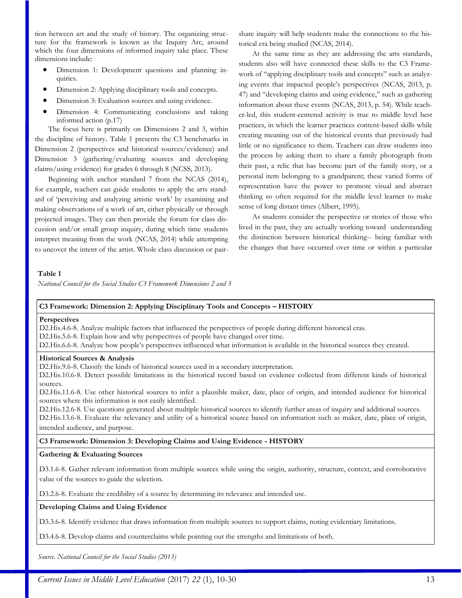tion between art and the study of history. The organizing structure for the framework is known as the Inquiry Arc, around which the four dimensions of informed inquiry take place. These dimensions include:

- Dimension 1: Development questions and planning inquiries.
- Dimension 2: Applying disciplinary tools and concepts.
- Dimension 3: Evaluation sources and using evidence.
- Dimension 4: Communicating conclusions and taking informed action (p.17)

The focus here is primarily on Dimensions 2 and 3, within the discipline of history**.** Table 1 presents the C3 benchmarks in Dimension 2 (perspectives and historical sources/evidence) and Dimension 3 (gathering/evaluating sources and developing claims/using evidence) for grades 6 through 8 (NCSS, 2013).

Beginning with anchor standard 7 from the NCAS (2014), for example, teachers can guide students to apply the arts standard of 'perceiving and analyzing artistic work' by examining and making observations of a work of art, either physically or through projected images. They can then provide the forum for class discussion and/or small group inquiry, during which time students interpret meaning from the work (NCAS, 2014) while attempting to uncover the intent of the artist. Whole class discussion or pairshare inquiry will help students make the connections to the historical era being studied (NCAS, 2014).

At the same time as they are addressing the arts standards, students also will have connected these skills to the C3 Framework of "applying disciplinary tools and concepts" such as analyzing events that impacted people's perspectives (NCAS, 2013, p. 47) and "developing claims and using evidence," such as gathering information about these events (NCAS, 2013, p. 54). While teacher-led, this student-centered activity is true to middle level best practices, in which the learner practices content-based skills while creating meaning out of the historical events that previously had little or no significance to them. Teachers can draw students into the process by asking them to share a family photograph from their past, a relic that has become part of the family story, or a personal item belonging to a grandparent; these varied forms of representation have the power to promote visual and abstract thinking so often required for the middle level learner to make sense of long distant times (Albert, 1995).

As students consider the perspective or stories of those who lived in the past, they are actually working toward understanding the distinction between historical thinking-- being familiar with the changes that have occurred over time or within a particular

#### **Table 1**

*National Council for the Social Studies C3 Framework Dimensions 2 and 3*

#### **C3 Framework: Dimension 2: Applying Disciplinary Tools and Concepts – HISTORY**

#### **Perspectives**

D2.His.4.6-8. Analyze multiple factors that influenced the perspectives of people during different historical eras.

D2.His.5.6-8. Explain how and why perspectives of people have changed over time.

D2.His.6.6-8. Analyze how people's perspectives influenced what information is available in the historical sources they created.

#### **Historical Sources & Analysis**

D2.His.9.6-8. Classify the kinds of historical sources used in a secondary interpretation.

D2.His.10.6-8. Detect possible limitations in the historical record based on evidence collected from different kinds of historical sources.

D2.His.11.6-8. Use other historical sources to infer a plausible maker, date, place of origin, and intended audience for historical sources where this information is not easily identified.

D2.His.12.6-8. Use questions generated about multiple historical sources to identify further areas of inquiry and additional sources. D2.His.13.6-8. Evaluate the relevancy and utility of a historical source based on information such as maker, date, place of origin, intended audience, and purpose.

#### **C3 Framework: Dimension 3: Developing Claims and Using Evidence - HISTORY**

#### **Gathering & Evaluating Sources**

D3.1.6-8. Gather relevant information from multiple sources while using the origin, authority, structure, context, and corroborative value of the sources to guide the selection.

D3.2.6-8. Evaluate the credibility of a source by determining its relevance and intended use.

#### **Developing Claims and Using Evidence**

D3.3.6-8. Identify evidence that draws information from multiple sources to support claims, noting evidentiary limitations.

D3.4.6-8. Develop claims and counterclaims while pointing out the strengths and limitations of both.

*Source. National Council for the Social Studies (2013)*

*Current Issues in Middle Level Education (2017) 22 (1), 10-30* 13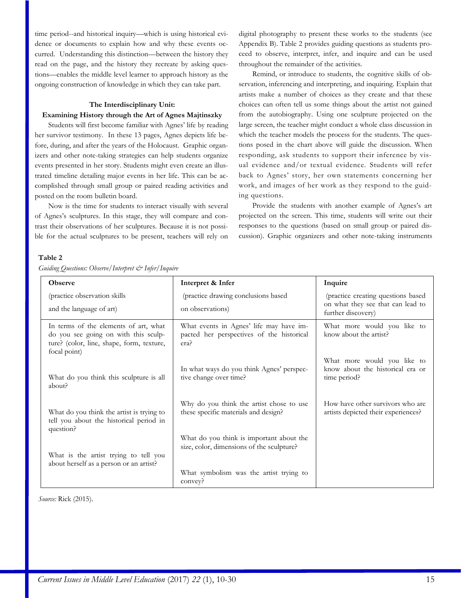time period--and historical inquiry—which is using historical evidence or documents to explain how and why these events occurred. Understanding this distinction—between the history they read on the page, and the history they recreate by asking questions—enables the middle level learner to approach history as the ongoing construction of knowledge in which they can take part.

#### **The Interdisciplinary Unit: Examining History through the Art of Agnes Majtinszky**

Students will first become familiar with Agnes' life by reading her survivor testimony. In these 13 pages, Agnes depicts life before, during, and after the years of the Holocaust. Graphic organizers and other note-taking strategies can help students organize events presented in her story. Students might even create an illustrated timeline detailing major events in her life. This can be accomplished through small group or paired reading activities and posted on the room bulletin board.

Now is the time for students to interact visually with several of Agnes's sculptures. In this stage, they will compare and contrast their observations of her sculptures. Because it is not possible for the actual sculptures to be present, teachers will rely on

digital photography to present these works to the students (see Appendix B). Table 2 provides guiding questions as students proceed to observe, interpret, infer, and inquire and can be used throughout the remainder of the activities.

Remind, or introduce to students, the cognitive skills of observation, inferencing and interpreting, and inquiring. Explain that artists make a number of choices as they create and that these choices can often tell us some things about the artist not gained from the autobiography. Using one sculpture projected on the large screen, the teacher might conduct a whole class discussion in which the teacher models the process for the students. The questions posed in the chart above will guide the discussion. When responding, ask students to support their inference by visual evidence and/or textual evidence*.* Students will refer back to Agnes' story, her own statements concerning her work, and images of her work as they respond to the guiding questions.

Provide the students with another example of Agnes's art projected on the screen. This time, students will write out their responses to the questions (based on small group or paired discussion). Graphic organizers and other note-taking instruments

#### **Table 2**

| <b>Observe</b>                                                                                                                             | Interpret & Infer                                                                            | Inquire                                                                         |
|--------------------------------------------------------------------------------------------------------------------------------------------|----------------------------------------------------------------------------------------------|---------------------------------------------------------------------------------|
| (practice observation skills                                                                                                               | (practice drawing conclusions based                                                          | (practice creating questions based                                              |
| and the language of art)                                                                                                                   | on observations)                                                                             | on what they see that can lead to<br>further discovery)                         |
| In terms of the elements of art, what<br>do you see going on with this sculp-<br>ture? (color, line, shape, form, texture,<br>focal point) | What events in Agnes' life may have im-<br>pacted her perspectives of the historical<br>era? | What more would you like to<br>know about the artist?                           |
| What do you think this sculpture is all<br>about?                                                                                          | In what ways do you think Agnes' perspec-<br>tive change over time?                          | What more would you like to<br>know about the historical era or<br>time period? |
| What do you think the artist is trying to<br>tell you about the historical period in<br>question?                                          | Why do you think the artist chose to use<br>these specific materials and design?             | How have other survivors who are<br>artists depicted their experiences?         |
| What is the artist trying to tell you                                                                                                      | What do you think is important about the<br>size, color, dimensions of the sculpture?        |                                                                                 |
| about herself as a person or an artist?                                                                                                    | What symbolism was the artist trying to<br>convey?                                           |                                                                                 |

*Guiding Questions: Observe/Interpret & Infer/Inquire*

*Source:* Rick (2015).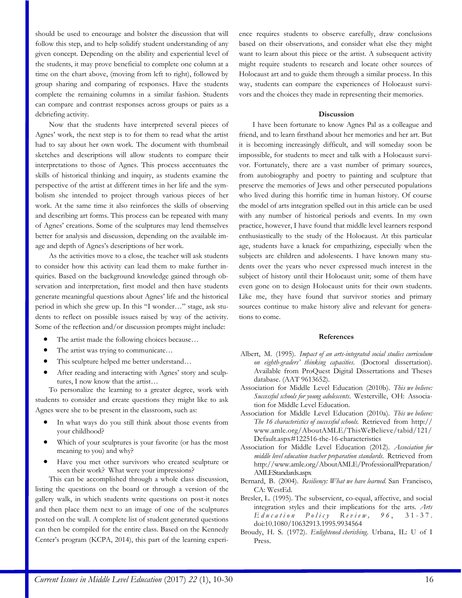should be used to encourage and bolster the discussion that will follow this step, and to help solidify student understanding of any given concept. Depending on the ability and experiential level of the students, it may prove beneficial to complete one column at a time on the chart above, (moving from left to right), followed by group sharing and comparing of responses. Have the students complete the remaining columns in a similar fashion. Students can compare and contrast responses across groups or pairs as a debriefing activity.

Now that the students have interpreted several pieces of Agnes' work, the next step is to for them to read what the artist had to say about her own work. The document with thumbnail sketches and descriptions will allow students to compare their interpretations to those of Agnes. This process accentuates the skills of historical thinking and inquiry, as students examine the perspective of the artist at different times in her life and the symbolism she intended to project through various pieces of her work. At the same time it also reinforces the skills of observing and describing art forms. This process can be repeated with many of Agnes' creations. Some of the sculptures may lend themselves better for analysis and discussion, depending on the available image and depth of Agnes's descriptions of her work.

As the activities move to a close, the teacher will ask students to consider how this activity can lead them to make further inquiries. Based on the background knowledge gained through observation and interpretation, first model and then have students generate meaningful questions about Agnes' life and the historical period in which she grew up. In this "I wonder…" stage, ask students to reflect on possible issues raised by way of the activity. Some of the reflection and/or discussion prompts might include:

- The artist made the following choices because…
- The artist was trying to communicate…
- This sculpture helped me better understand…
- After reading and interacting with Agnes' story and sculptures, I now know that the artist…

To personalize the learning to a greater degree, work with students to consider and create questions they might like to ask Agnes were she to be present in the classroom, such as:

- In what ways do you still think about those events from your childhood?
- Which of your sculptures is your favorite (or has the most meaning to you) and why?
- Have you met other survivors who created sculpture or seen their work? What were your impressions?

This can be accomplished through a whole class discussion, listing the questions on the board or through a version of the gallery walk, in which students write questions on post-it notes and then place them next to an image of one of the sculptures posted on the wall. A complete list of student generated questions can then be compiled for the entire class. Based on the Kennedy Center's program (KCPA, 2014), this part of the learning experience requires students to observe carefully, draw conclusions based on their observations, and consider what else they might want to learn about this piece or the artist. A subsequent activity might require students to research and locate other sources of Holocaust art and to guide them through a similar process. In this way, students can compare the experiences of Holocaust survivors and the choices they made in representing their memories.

#### **Discussion**

I have been fortunate to know Agnes Pal as a colleague and friend, and to learn firsthand about her memories and her art. But it is becoming increasingly difficult, and will someday soon be impossible, for students to meet and talk with a Holocaust survivor. Fortunately, there are a vast number of primary sources, from autobiography and poetry to painting and sculpture that preserve the memories of Jews and other persecuted populations who lived during this horrific time in human history. Of course the model of arts integration spelled out in this article can be used with any number of historical periods and events. In my own practice, however, I have found that middle level learners respond enthusiastically to the study of the Holocaust. At this particular age, students have a knack for empathizing, especially when the subjects are children and adolescents. I have known many students over the years who never expressed much interest in the subject of history until their Holocaust unit; some of them have even gone on to design Holocaust units for their own students. Like me, they have found that survivor stories and primary sources continue to make history alive and relevant for generations to come.

#### **References**

- Albert, M. (1995). *Impact of an arts-integrated social studies curriculum on eighth-graders' thinking capacities*. (Doctoral dissertation). Available from ProQuest Digital Dissertations and Theses database. (AAT 9613652).
- Association for Middle Level Education (2010b). *This we believe: Successful schools for young adolescents*. Westerville, OH: Association for Middle Level Education.
- Association for Middle Level Education (2010a). *This we believe: The 16 characteristics of successful schools.* Retrieved from http:// www.amle.org/AboutAMLE/ThisWeBelieve/tabid/121/ Default.aspx#122516-the-16-characteristics
- Association for Middle Level Education (2012). *Association for middle level education teacher preparation standards.* Retrieved from http://www.amle.org/AboutAMLE/ProfessionalPreparation/ AMLEStandards.aspx
- Bernard, B. (2004). *Resiliency: What we have learned.* San Francisco, CA: WestEd.
- Bresler, L. (1995). The subservient, co-equal, affective, and social integration styles and their implications for the arts. *Arts E d u c a t i o n P o l i c y R e v i e w , 9 6* , 3 1 - 3 7 . doi:10.1080/10632913.1995.9934564
- Broudy, H. S. (1972). *Enlightened cherishing*. Urbana, IL: U of I Press.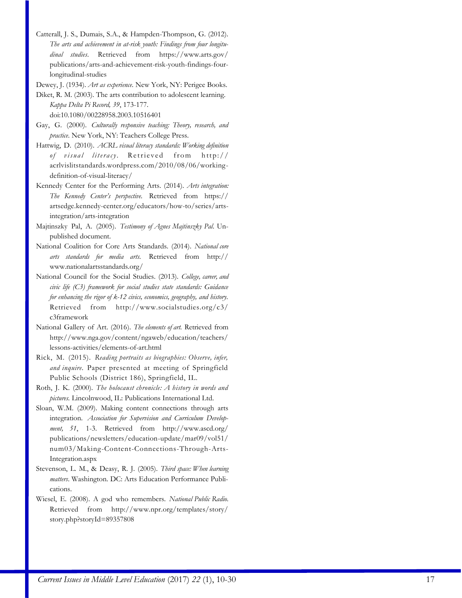- Catterall, J. S., Dumais, S.A., & Hampden-Thompson, G. (2012). *The arts and achievement in at-risk youth: Findings from four longitudinal studies*. Retrieved from https://www.arts.gov/ publications/arts-and-achievement-risk-youth-findings-fourlongitudinal-studies
- Dewey, J. (1934). *Art as experience*. New York, NY: Perigee Books.

Diket, R. M. (2003). The arts contribution to adolescent learning. *Kappa Delta Pi Record, 39*, 173-177.

doi:10.1080/00228958.2003.10516401

- Gay, G. (2000). *Culturally responsive teaching: Theory, research, and practice*. New York, NY: Teachers College Press.
- Hattwig, D. (2010). *ACRL visual literacy standards: Working definition of visual literacy*. Retrieved from http:// acrlvislitstandards.wordpress.com/2010/08/06/workingdefinition-of-visual-literacy/
- Kennedy Center for the Performing Arts. (2014). *Arts integration: The Kennedy Center's perspective.* Retrieved from https:// artsedge.kennedy-center.org/educators/how-to/series/artsintegration/arts-integration
- Majtinszky Pal, A. (2005). *Testimony of Agnes Majtinszky Pal.* Unpublished document.
- National Coalition for Core Arts Standards. (2014). *National core arts standards for media arts.* Retrieved from http:// www.nationalartsstandards.org/
- National Council for the Social Studies. (2013). *College, career, and civic life (C3) framework for social studies state standards: Guidance for enhancing the rigor of k-12 civics, economics, geography, and history.* Retrieved from http://www.socialstudies.org/c3/ c3framework
- National Gallery of Art. (2016). *The elements of art.* Retrieved from http://www.nga.gov/content/ngaweb/education/teachers/ lessons-activities/elements-of-art.html
- Rick, M. (2015). *Reading portraits as biographies: Observe, infer, and inquire*. Paper presented at meeting of Springfield Public Schools (District 186), Springfield, IL.
- Roth, J. K. (2000). *The holocaust chronicle: A history in words and pictures.* Lincolnwood, IL: Publications International Ltd.
- Sloan, W.M. (2009). Making content connections through arts integration. *Association for Supervision and Curriculum Development, 51*, 1-3. Retrieved from http://www.ascd.org/ publications/newsletters/education-update/mar09/vol51/ num03/Making-Content-Connections-Through-Arts-Integration.aspx
- Stevenson, L. M., & Deasy, R. J. (2005). *Third space: When learning matters*. Washington. DC: Arts Education Performance Publications.
- Wiesel, E. (2008). A god who remembers. *National Public Radio*. Retrieved from http://www.npr.org/templates/story/ story.php?storyId=89357808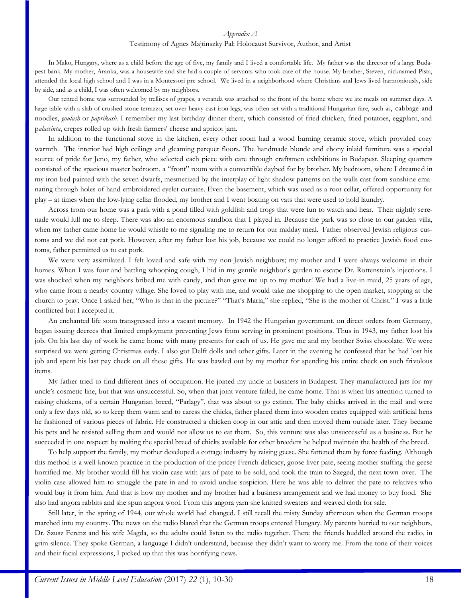#### *Appendix A*

#### Testimony of Agnes Majtinszky Pal: Holocaust Survivor, Author, and Artist

In Mako, Hungary, where as a child before the age of five, my family and I lived a comfortable life. My father was the director of a large Budapest bank. My mother, Aranka, was a housewife and she had a couple of servants who took care of the house. My brother, Steven, nicknamed Pista, attended the local high school and I was in a Montessori pre-school. We lived in a neighborhood where Christians and Jews lived harmoniously, side by side, and as a child, I was often welcomed by my neighbors.

Our rented home was surrounded by trellises of grapes, a veranda was attached to the front of the home where we ate meals on summer days. A large table with a slab of crushed stone terrazzo, set over heavy cast iron legs, was often set with a traditional Hungarian fare, such as, cabbage and noodles, *goulash* or *paprikash.* I remember my last birthday dinner there, which consisted of fried chicken, fried potatoes, eggplant, and p*alacsinta*, crepes rolled up with fresh farmers' cheese and apricot jam.

In addition to the functional stove in the kitchen, every other room had a wood burning ceramic stove, which provided cozy warmth. The interior had high ceilings and gleaming parquet floors. The handmade blonde and ebony inlaid furniture was a special source of pride for Jeno, my father, who selected each piece with care through craftsmen exhibitions in Budapest. Sleeping quarters consisted of the spacious master bedroom, a "front" room with a convertible daybed for by brother. My bedroom, where I dreamed in my iron bed painted with the seven dwarfs, mesmerized by the interplay of light shadow patterns on the walls cast from sunshine emanating through holes of hand embroidered eyelet curtains. Even the basement, which was used as a root cellar, offered opportunity for play – at times when the low-lying cellar flooded, my brother and I went boating on vats that were used to hold laundry.

Across from our home was a park with a pond filled with goldfish and frogs that were fun to watch and hear. Their nightly serenade would lull me to sleep. There was also an enormous sandbox that I played in. Because the park was so close to our garden villa, when my father came home he would whistle to me signaling me to return for our midday meal. Father observed Jewish religious customs and we did not eat pork. However, after my father lost his job, because we could no longer afford to practice Jewish food customs, father permitted us to eat pork.

We were very assimilated. I felt loved and safe with my non-Jewish neighbors; my mother and I were always welcome in their homes. When I was four and battling whooping cough, I hid in my gentile neighbor's garden to escape Dr. Rottenstein's injections. I was shocked when my neighbors bribed me with candy, and then gave me up to my mother! We had a live-in maid, 25 years of age, who came from a nearby country village. She loved to play with me, and would take me shopping to the open market, stopping at the church to pray. Once I asked her, "Who is that in the picture?" "That's Maria," she replied, "She is the mother of Christ." I was a little conflicted but I accepted it.

An enchanted life soon transgressed into a vacant memory. In 1942 the Hungarian government, on direct orders from Germany, began issuing decrees that limited employment preventing Jews from serving in prominent positions. Thus in 1943, my father lost his job. On his last day of work he came home with many presents for each of us. He gave me and my brother Swiss chocolate. We were surprised we were getting Christmas early. I also got Delft dolls and other gifts. Later in the evening he confessed that he had lost his job and spent his last pay check on all these gifts. He was bawled out by my mother for spending his entire check on such frivolous items.

My father tried to find different lines of occupation. He joined my uncle in business in Budapest. They manufactured jars for my uncle's cosmetic line, but that was unsuccessful. So, when that joint venture failed, he came home. That is when his attention turned to raising chickens, of a certain Hungarian breed, "Parlagy", that was about to go extinct. The baby chicks arrived in the mail and were only a few days old, so to keep them warm and to caress the chicks, father placed them into wooden crates equipped with artificial hens he fashioned of various pieces of fabric. He constructed a chicken coop in our attic and then moved them outside later. They became his pets and he resisted selling them and would not allow us to eat them. So, this venture was also unsuccessful as a business. But he succeeded in one respect: by making the special breed of chicks available for other breeders he helped maintain the health of the breed.

To help support the family, my mother developed a cottage industry by raising geese. She fattened them by force feeding. Although this method is a well-known practice in the production of the pricey French delicacy, goose liver pate, seeing mother stuffing the geese horrified me. My brother would fill his violin case with jars of pate to be sold, and took the train to Szeged, the next town over. The violin case allowed him to smuggle the pate in and to avoid undue suspicion. Here he was able to deliver the pate to relatives who would buy it from him. And that is how my mother and my brother had a business arrangement and we had money to buy food. She also had angora rabbits and she spun angora wool. From this angora yarn she knitted sweaters and weaved cloth for sale.

Still later, in the spring of 1944, our whole world had changed. I still recall the misty Sunday afternoon when the German troops marched into my country. The news on the radio blared that the German troops entered Hungary. My parents hurried to our neighbors, Dr. Szusz Ferenz and his wife Magda, so the adults could listen to the radio together. There the friends huddled around the radio, in grim silence. They spoke German, a language I didn't understand, because they didn't want to worry me. From the tone of their voices and their facial expressions, I picked up that this was horrifying news.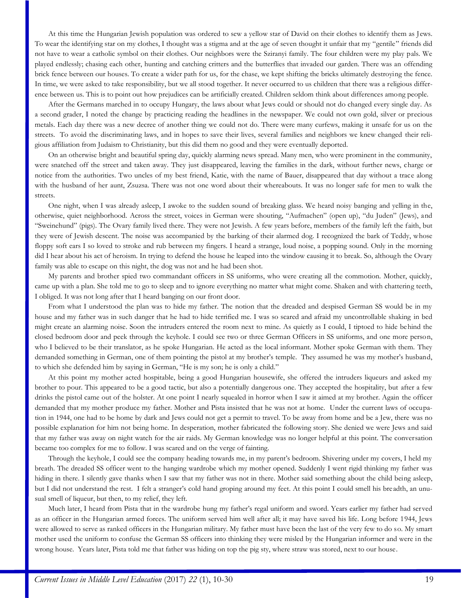At this time the Hungarian Jewish population was ordered to sew a yellow star of David on their clothes to identify them as Jews. To wear the identifying star on my clothes, I thought was a stigma and at the age of seven thought it unfair that my "gentile" friends did not have to wear a catholic symbol on their clothes. Our neighbors were the Sziranyi family. The four children were my play pals. We played endlessly; chasing each other, hunting and catching critters and the butterflies that invaded our garden. There was an offending brick fence between our houses. To create a wider path for us, for the chase, we kept shifting the bricks ultimately destroying the fence. In time, we were asked to take responsibility, but we all stood together. It never occurred to us children that there was a religious difference between us. This is to point out how prejudices can be artificially created. Children seldom think about differences among people.

After the Germans marched in to occupy Hungary, the laws about what Jews could or should not do changed every single day. As a second grader, I noted the change by practicing reading the headlines in the newspaper. We could not own gold, silver or precious metals. Each day there was a new decree of another thing we could not do. There were many curfews, making it unsafe for us on the streets. To avoid the discriminating laws, and in hopes to save their lives, several families and neighbors we knew changed their religious affiliation from Judaism to Christianity, but this did them no good and they were eventually deported.

On an otherwise bright and beautiful spring day, quickly alarming news spread. Many men, who were prominent in the community, were snatched off the street and taken away. They just disappeared, leaving the families in the dark, without further news, charge or notice from the authorities. Two uncles of my best friend, Katie, with the name of Bauer, disappeared that day without a trace along with the husband of her aunt, Zsuzsa. There was not one word about their whereabouts. It was no longer safe for men to walk the streets.

One night, when I was already asleep, I awoke to the sudden sound of breaking glass. We heard noisy banging and yelling in the, otherwise, quiet neighborhood. Across the street, voices in German were shouting, "Aufmachen" (open up), "du Juden" (Jews), and "Sweinehund" (pigs). The Ovary family lived there. They were not Jewish. A few years before, members of the family left the faith, but they were of Jewish descent. The noise was accompanied by the barking of their alarmed dog. I recognized the bark of Teddy, whose floppy soft ears I so loved to stroke and rub between my fingers. I heard a strange, loud noise, a popping sound. Only in the morning did I hear about his act of heroism. In trying to defend the house he leaped into the window causing it to break. So, although the Ovary family was able to escape on this night, the dog was not and he had been shot.

My parents and brother spied two commandant officers in SS uniforms, who were creating all the commotion. Mother, quickly, came up with a plan. She told me to go to sleep and to ignore everything no matter what might come. Shaken and with chattering teeth, I obliged. It was not long after that I heard banging on our front door.

From what I understood the plan was to hide my father. The notion that the dreaded and despised German SS would be in my house and my father was in such danger that he had to hide terrified me. I was so scared and afraid my uncontrollable shaking in bed might create an alarming noise. Soon the intruders entered the room next to mine. As quietly as I could, I tiptoed to hide behind the closed bedroom door and peek through the keyhole. I could see two or three German Officers in SS uniforms, and one more person, who I believed to be their translator, as he spoke Hungarian. He acted as the local informant. Mother spoke German with them. They demanded something in German, one of them pointing the pistol at my brother's temple. They assumed he was my mother's husband, to which she defended him by saying in German, "He is my son; he is only a child."

At this point my mother acted hospitable, being a good Hungarian housewife, she offered the intruders liqueurs and asked my brother to pour. This appeared to be a good tactic, but also a potentially dangerous one. They accepted the hospitality, but after a few drinks the pistol came out of the holster. At one point I nearly squealed in horror when I saw it aimed at my brother. Again the officer demanded that my mother produce my father. Mother and Pista insisted that he was not at home. Under the current laws of occupation in 1944, one had to be home by dark and Jews could not get a permit to travel. To be away from home and be a Jew, there was no possible explanation for him not being home. In desperation, mother fabricated the following story. She denied we were Jews and said that my father was away on night watch for the air raids. My German knowledge was no longer helpful at this point. The conversation became too complex for me to follow. I was scared and on the verge of fainting.

Through the keyhole, I could see the company heading towards me, in my parent's bedroom. Shivering under my covers, I held my breath. The dreaded SS officer went to the hanging wardrobe which my mother opened. Suddenly I went rigid thinking my father was hiding in there. I silently gave thanks when I saw that my father was not in there. Mother said something about the child being asleep, but I did not understand the rest. I felt a stranger's cold hand groping around my feet. At this point I could smell his breadth, an unusual smell of liqueur, but then, to my relief, they left.

Much later, I heard from Pista that in the wardrobe hung my father's regal uniform and sword. Years earlier my father had served as an officer in the Hungarian armed forces. The uniform served him well after all; it may have saved his life. Long before 1944, Jews were allowed to serve as ranked officers in the Hungarian military. My father must have been the last of the very few to do so. My smart mother used the uniform to confuse the German SS officers into thinking they were misled by the Hungarian informer and were in the wrong house. Years later, Pista told me that father was hiding on top the pig sty, where straw was stored, next to our house.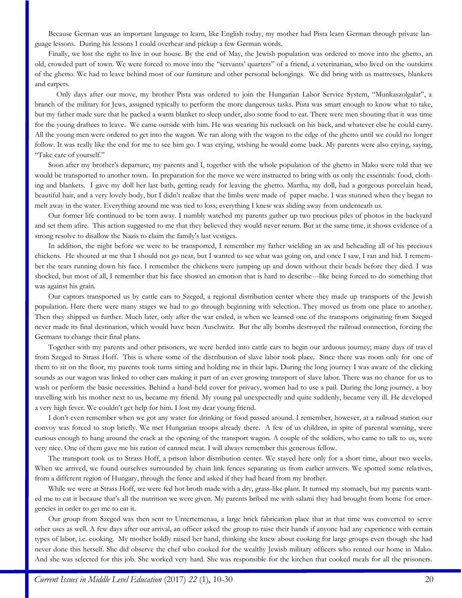Because German was an important language to learn, like English today, my mother had Pista learn German through private language lessons. During his lessons I could overhear and pickup a few German words.

Finally, we lost the right to live in our house. By the end of May, the Jewish population was ordered to move into the ghetto, an old, crowded part of town. We were forced to move into the "servants' quarters" of a friend, a veterinarian, who lived on the outskirts of the ghetto. We had to leave behind most of our furniture and other personal belongings. We did bring with us mattresses, blankets and carpets.

Only days after our move, my brother Pista was ordered to join the Hungarian Labor Service System, "Munkaszolgalat", a branch of the military for Jews, assigned typically to perform the more dangerous tasks. Pista was smart enough to know what to take, but my father made sure that he packed a warm blanket to sleep under, also some food to eat. There were men shouting that it was time for the young draftees to leave. We came outside with him. He was wearing his rucksack on his back, and whatever else he could carry. All the young men were ordered to get into the wagon. We ran along with the wagon to the edge of the ghetto until we could no longer follow. It was really like the end for me to see him go. I was crying, wishing he would come back. My parents were also crying, saying, "Take care of yourself."

Soon after my brother's departure, my parents and I, together with the whole population of the ghetto in Mako were told that we would be transported to another town. In preparation for the move we were instructed to bring with us only the essentials: food, clothing and blankets. I gave my doll her last bath, getting ready for leaving the ghetto. Martha, my doll, had a gorgeous porcelain head, beautiful hair, and a very lovely body, but I didn't realize that the limbs were made of paper mache. I was stunned when they began to melt away in the water. Everything around me was tied to loss; everything I knew was sliding away from underneath us.

Our former life continued to be torn away. I numbly watched my parents gather up two precious piles of photos in the backyard and set them afire. This action suggested to me that they believed they would never return. But at the same time, it shows evidence of a strong resolve to disallow the Nazis to claim the family's last vestiges.

In addition, the night before we were to be transported, I remember my father wielding an ax and beheading all of his precious chickens. He shouted at me that I should not go near, but I wanted to see what was going on, and once I saw, I ran and hid. I remember the tears running down his face. I remember the chickens were jumping up and down without their heads before they died. I was shocked, but most of all, I remember that his face showed an emotion that is hard to describe---like being forced to do something that was against his grain.

Our captors transported us by cattle cars to Szeged, a regional distribution center where they made up transports of the Jewish population. Here there were many stages we had to go through beginning with selection. They moved us from one place to another. Then they shipped us further. Much later, only after the war ended, is when we learned one of the transports originating from Szeged never made its final destination, which would have been Auschwitz. But the ally bombs destroyed the railroad connection, forcing the Germans to change their final plans.

Together with my parents and other prisoners, we were herded into cattle cars to begin our arduous journey; many days of travel from Szeged to Strass Hoff. This is where some of the distribution of slave labor took place. Since there was room only for one of them to sit on the floor, my parents took turns sitting and holding me in their laps. During the long journey I was aware of the clicking sounds as our wagon was linked to other cars making it part of an ever growing transport of slave labor. There was no chance for us to wash or perform the basic necessities. Behind a hand-held cover for privacy, women had to use a pail. During the long journey, a boy travelling with his mother next to us, became my friend. My young pal unexpectedly and quite suddenly, became very ill. He developed a very high fever. We couldn't get help for him. I lost my dear young friend.

I don't even remember when we got any water for drinking or food passed around. I remember, however, at a railroad station our convoy was forced to stop briefly. We met Hungarian troops already there. A few of us children, in spite of parental warning, were curious enough to hang around the crack at the opening of the transport wagon. A couple of the soldiers, who came to talk to us, were very nice. One of them gave me his ration of canned meat. I will always remember this generous fellow.

The transport took us to Strass Hoff, a prison labor distribution center. We stayed here only for a short time, about two weeks. When we arrived, we found ourselves surrounded by chain link fences separating us from earlier arrivers. We spotted some relatives, from a different region of Hungary, through the fence and asked if they had heard from my brother.

While we were at Strass Hoff, we were fed hot broth made with a dry, grass-like plant. It turned my stomach, but my parents wanted me to eat it because that's all the nutrition we were given. My parents bribed me with salami they had brought from home for emergencies in order to get me to eat it.

Our group from Szeged was then sent to Untertemenau, a large brick fabrication place that at that time was converted to serve other uses as well. A few days after our arrival, an officer asked the group to raise their hands if anyone had any experience with certain types of labor, i.e. cooking. My mother boldly raised her hand, thinking she knew about cooking for large groups even though she had never done this herself. She did observe the chef who cooked for the wealthy Jewish military officers who rented our home in Mako. And she was selected for this job. She worked very hard. She was responsible for the kitchen that cooked meals for all the prisoners.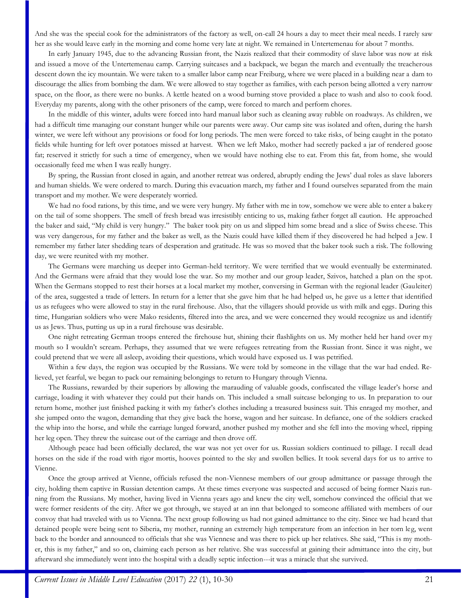And she was the special cook for the administrators of the factory as well, on-call 24 hours a day to meet their meal needs. I rarely saw her as she would leave early in the morning and come home very late at night. We remained in Untertemenau for about 7 months.

In early January 1945, due to the advancing Russian front, the Nazis realized that their commodity of slave labor was now at risk and issued a move of the Untertemenau camp. Carrying suitcases and a backpack, we began the march and eventually the treacherous descent down the icy mountain. We were taken to a smaller labor camp near Freiburg, where we were placed in a building near a dam to discourage the allies from bombing the dam. We were allowed to stay together as families, with each person being allotted a very narrow space, on the floor, as there were no bunks. A kettle heated on a wood burning stove provided a place to wash and also to cook food. Everyday my parents, along with the other prisoners of the camp, were forced to march and perform chores.

In the middle of this winter, adults were forced into hard manual labor such as cleaning away rubble on roadways. As children, we had a difficult time managing our constant hunger while our parents were away. Our camp site was isolated and often, during the harsh winter, we were left without any provisions or food for long periods. The men were forced to take risks, of being caught in the potato fields while hunting for left over potatoes missed at harvest. When we left Mako, mother had secretly packed a jar of rendered goose fat; reserved it strictly for such a time of emergency, when we would have nothing else to eat. From this fat, from home, she would occasionally feed me when I was really hungry.

By spring, the Russian front closed in again, and another retreat was ordered, abruptly ending the Jews' dual roles as slave laborers and human shields. We were ordered to march. During this evacuation march, my father and I found ourselves separated from the main transport and my mother. We were desperately worried.

We had no food rations, by this time, and we were very hungry. My father with me in tow, somehow we were able to enter a bakery on the tail of some shoppers. The smell of fresh bread was irresistibly enticing to us, making father forget all caution. He approached the baker and said, "My child is very hungry." The baker took pity on us and slipped him some bread and a slice of Swiss cheese. This was very dangerous, for my father and the baker as well, as the Nazis could have killed them if they discovered he had helped a Jew. I remember my father later shedding tears of desperation and gratitude. He was so moved that the baker took such a risk. The following day, we were reunited with my mother.

The Germans were marching us deeper into German-held territory. We were terrified that we would eventually be exterminated. And the Germans were afraid that they would lose the war. So my mother and our group leader, Szivos, hatched a plan on the spot. When the Germans stopped to rest their horses at a local market my mother, conversing in German with the regional leader (Gauleiter) of the area, suggested a trade of letters. In return for a letter that she gave him that he had helped us, he gave us a letter that identified us as refugees who were allowed to stay in the rural firehouse. Also, that the villagers should provide us with milk and eggs. During this time, Hungarian soldiers who were Mako residents, filtered into the area, and we were concerned they would recognize us and identify us as Jews. Thus, putting us up in a rural firehouse was desirable.

One night retreating German troops entered the firehouse hut, shining their flashlights on us. My mother held her hand over my mouth so I wouldn't scream. Perhaps, they assumed that we were refugees retreating from the Russian front. Since it was night, we could pretend that we were all asleep, avoiding their questions, which would have exposed us. I was petrified.

Within a few days, the region was occupied by the Russians. We were told by someone in the village that the war had ended. Relieved, yet fearful, we began to pack our remaining belongings to return to Hungary through Vienna.

The Russians, rewarded by their superiors by allowing the marauding of valuable goods, confiscated the village leader's horse and carriage, loading it with whatever they could put their hands on. This included a small suitcase belonging to us. In preparation to our return home, mother just finished packing it with my father's clothes including a treasured business suit. This enraged my mother, and she jumped onto the wagon, demanding that they give back the horse, wagon and her suitcase. In defiance, one of the soldiers cracked the whip into the horse, and while the carriage lunged forward, another pushed my mother and she fell into the moving wheel, ripping her leg open. They threw the suitcase out of the carriage and then drove off.

Although peace had been officially declared, the war was not yet over for us. Russian soldiers continued to pillage. I recall dead horses on the side if the road with rigor mortis, hooves pointed to the sky and swollen bellies. It took several days for us to arrive to Vienne.

Once the group arrived at Vienne, officials refused the non-Viennese members of our group admittance or passage through the city, holding them captive in Russian detention camps. At these times everyone was suspected and accused of being former Nazis running from the Russians. My mother, having lived in Vienna years ago and knew the city well, somehow convinced the official that we were former residents of the city. After we got through, we stayed at an inn that belonged to someone affiliated with members of our convoy that had traveled with us to Vienna. The next group following us had not gained admittance to the city. Since we had heard that detained people were being sent to Siberia, my mother, running an extremely high temperature from an infection in her torn leg, went back to the border and announced to officials that she was Viennese and was there to pick up her relatives. She said, "This is my mother, this is my father," and so on, claiming each person as her relative. She was successful at gaining their admittance into the city, but afterward she immediately went into the hospital with a deadly septic infection---it was a miracle that she survived.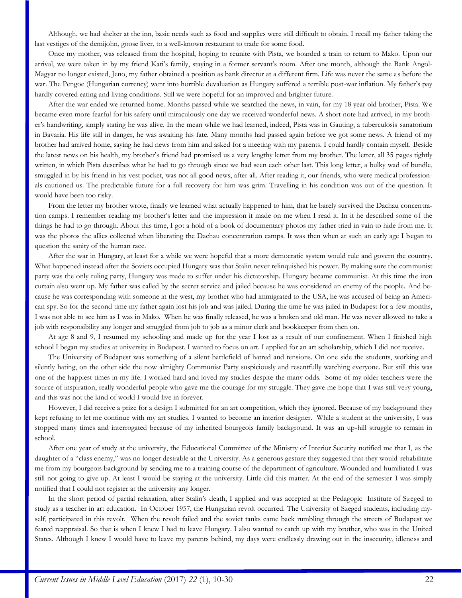Although, we had shelter at the inn, basic needs such as food and supplies were still difficult to obtain. I recall my father taking the last vestiges of the demijohn, goose liver, to a well-known restaurant to trade for some food.

Once my mother, was released from the hospital, hoping to reunite with Pista, we boarded a train to return to Mako. Upon our arrival, we were taken in by my friend Kati's family, staying in a former servant's room. After one month, although the Bank Angol-Magyar no longer existed, Jeno, my father obtained a position as bank director at a different firm. Life was never the same as before the war. The Pengoe (Hungarian currency) went into horrible devaluation as Hungary suffered a terrible post-war inflation. My father's pay hardly covered eating and living conditions. Still we were hopeful for an improved and brighter future.

After the war ended we returned home. Months passed while we searched the news, in vain, for my 18 year old brother, Pista. We became even more fearful for his safety until miraculously one day we received wonderful news. A short note had arrived, in my brother's handwriting, simply stating he was alive. In the mean while we had learned, indeed, Pista was in Gauting, a tuberculosis sanatorium in Bavaria. His life still in danger, he was awaiting his fate. Many months had passed again before we got some news. A friend of my brother had arrived home, saying he had news from him and asked for a meeting with my parents. I could hardly contain myself. Beside the latest news on his health, my brother's friend had promised us a very lengthy letter from my brother. The letter, all 35 pages tightly written, in which Pista describes what he had to go through since we had seen each other last. This long letter, a bulky wad of bundle, smuggled in by his friend in his vest pocket, was not all good news, after all. After reading it, our friends, who were medical professionals cautioned us. The predictable future for a full recovery for him was grim. Travelling in his condition was out of the question. It would have been too risky.

From the letter my brother wrote, finally we learned what actually happened to him, that he barely survived the Dachau concentration camps. I remember reading my brother's letter and the impression it made on me when I read it. In it he described some of the things he had to go through. About this time, I got a hold of a book of documentary photos my father tried in vain to hide from me. It was the photos the allies collected when liberating the Dachau concentration camps. It was then when at such an early age I began to question the sanity of the human race.

After the war in Hungary, at least for a while we were hopeful that a more democratic system would rule and govern the country. What happened instead after the Soviets occupied Hungary was that Stalin never relinquished his power. By making sure the communist party was the only ruling party, Hungary was made to suffer under his dictatorship. Hungary became communist. At this time the iron curtain also went up. My father was called by the secret service and jailed because he was considered an enemy of the people. And because he was corresponding with someone in the west, my brother who had immigrated to the USA, he was accused of being an American spy. So for the second time my father again lost his job and was jailed. During the time he was jailed in Budapest for a few months, I was not able to see him as I was in Mako. When he was finally released, he was a broken and old man. He was never allowed to take a job with responsibility any longer and struggled from job to job as a minor clerk and bookkeeper from then on.

At age 8 and 9, I resumed my schooling and made up for the year I lost as a result of our confinement. When I finished high school I began my studies at university in Budapest. I wanted to focus on art. I applied for an art scholarship, which I did not receive.

The University of Budapest was something of a silent battlefield of hatred and tensions. On one side the students, working and silently hating, on the other side the now almighty Communist Party suspiciously and resentfully watching everyone. But still this was one of the happiest times in my life. I worked hard and loved my studies despite the many odds. Some of my older teachers were the source of inspiration, really wonderful people who gave me the courage for my struggle. They gave me hope that I was still very young, and this was not the kind of world I would live in forever.

However, I did receive a prize for a design I submitted for an art competition, which they ignored. Because of my background they kept refusing to let me continue with my art studies. I wanted to become an interior designer. While a student at the university, I was stopped many times and interrogated because of my inherited bourgeois family background. It was an up-hill struggle to remain in school.

After one year of study at the university, the Educational Committee of the Ministry of Interior Security notified me that I, as the daughter of a "class enemy," was no longer desirable at the University. As a generous gesture they suggested that they would rehabilitate me from my bourgeois background by sending me to a training course of the department of agriculture. Wounded and humiliated I was still not going to give up. At least I would be staying at the university. Little did this matter. At the end of the semester I was simply notified that I could not register at the university any longer.

In the short period of partial relaxation, after Stalin's death, I applied and was accepted at the Pedagogic Institute of Szeged to study as a teacher in art education. In October 1957, the Hungarian revolt occurred. The University of Szeged students, including myself, participated in this revolt. When the revolt failed and the soviet tanks came back rumbling through the streets of Budapest we feared reappraisal. So that is when I knew I had to leave Hungary. I also wanted to catch up with my brother, who was in the United States. Although I knew I would have to leave my parents behind, my days were endlessly drawing out in the insecurity, idleness and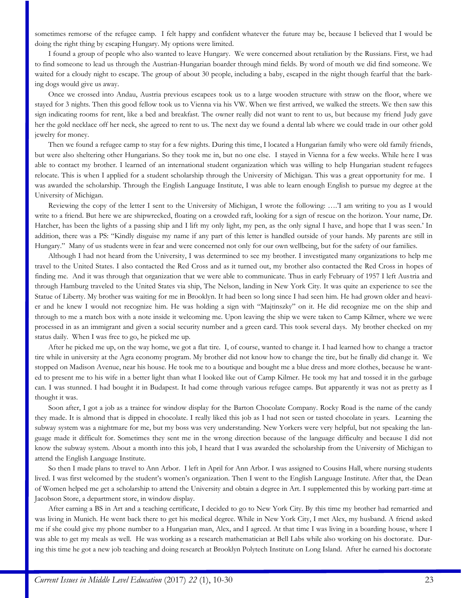sometimes remorse of the refugee camp. I felt happy and confident whatever the future may be, because I believed that I would be doing the right thing by escaping Hungary. My options were limited.

I found a group of people who also wanted to leave Hungary. We were concerned about retaliation by the Russians. First, we had to find someone to lead us through the Austrian-Hungarian boarder through mind fields. By word of mouth we did find someone. We waited for a cloudy night to escape. The group of about 30 people, including a baby, escaped in the night though fearful that the barking dogs would give us away.

Once we crossed into Andau, Austria previous escapees took us to a large wooden structure with straw on the floor, where we stayed for 3 nights. Then this good fellow took us to Vienna via his VW. When we first arrived, we walked the streets. We then saw this sign indicating rooms for rent, like a bed and breakfast. The owner really did not want to rent to us, but because my friend Judy gave her the gold necklace off her neck, she agreed to rent to us. The next day we found a dental lab where we could trade in our other gold jewelry for money.

Then we found a refugee camp to stay for a few nights. During this time, I located a Hungarian family who were old family friends, but were also sheltering other Hungarians. So they took me in, but no one else. I stayed in Vienna for a few weeks. While here I was able to contact my brother. I learned of an international student organization which was willing to help Hungarian student refugees relocate. This is when I applied for a student scholarship through the University of Michigan. This was a great opportunity for me. I was awarded the scholarship. Through the English Language Institute, I was able to learn enough English to pursue my degree at the University of Michigan.

Reviewing the copy of the letter I sent to the University of Michigan, I wrote the following: ….'I am writing to you as I would write to a friend. But here we are shipwrecked, floating on a crowded raft, looking for a sign of rescue on the horizon. Your name, Dr. Hatcher, has been the lights of a passing ship and I lift my only light, my pen, as the only signal I have, and hope that I was seen.' In addition, there was a PS: "Kindly disguise my name if any part of this letter is handled outside of your hands. My parents are still in Hungary." Many of us students were in fear and were concerned not only for our own wellbeing, but for the safety of our families.

Although I had not heard from the University, I was determined to see my brother. I investigated many organizations to help me travel to the United States. I also contacted the Red Cross and as it turned out, my brother also contacted the Red Cross in hopes of finding me. And it was through that organization that we were able to communicate. Thus in early February of 1957 I left Austria and through Hamburg traveled to the United States via ship, The Nelson, landing in New York City. It was quite an experience to see the Statue of Liberty. My brother was waiting for me in Brooklyn. It had been so long since I had seen him. He had grown older and heavier and he knew I would not recognize him. He was holding a sign with "Majtinszky" on it. He did recognize me on the ship and through to me a match box with a note inside it welcoming me. Upon leaving the ship we were taken to Camp Kilmer, where we were processed in as an immigrant and given a social security number and a green card. This took several days. My brother checked on my status daily. When I was free to go, he picked me up.

After he picked me up, on the way home, we got a flat tire. I, of course, wanted to change it. I had learned how to change a tractor tire while in university at the Agra economy program. My brother did not know how to change the tire, but he finally did change it. We stopped on Madison Avenue, near his house. He took me to a boutique and bought me a blue dress and more clothes, because he wanted to present me to his wife in a better light than what I looked like out of Camp Kilmer. He took my hat and tossed it in the garbage can. I was stunned. I had bought it in Budapest. It had come through various refugee camps. But apparently it was not as pretty as I thought it was.

Soon after, I got a job as a trainee for window display for the Barton Chocolate Company. Rocky Road is the name of the candy they made. It is almond that is dipped in chocolate. I really liked this job as I had not seen or tasted chocolate in years. Learning the subway system was a nightmare for me, but my boss was very understanding. New Yorkers were very helpful, but not speaking the language made it difficult for. Sometimes they sent me in the wrong direction because of the language difficulty and because I did not know the subway system. About a month into this job, I heard that I was awarded the scholarship from the University of Michigan to attend the English Language Institute.

So then I made plans to travel to Ann Arbor. I left in April for Ann Arbor. I was assigned to Cousins Hall, where nursing students lived. I was first welcomed by the student's women's organization. Then I went to the English Language Institute. After that, the Dean of Women helped me get a scholarship to attend the University and obtain a degree in Art. I supplemented this by working part-time at Jacobson Store, a department store, in window display.

After earning a BS in Art and a teaching certificate, I decided to go to New York City. By this time my brother had remarried and was living in Munich. He went back there to get his medical degree. While in New York City, I met Alex, my husband. A friend asked me if she could give my phone number to a Hungarian man, Alex, and I agreed. At that time I was living in a boarding house, where I was able to get my meals as well. He was working as a research mathematician at Bell Labs while also working on his doctorate. During this time he got a new job teaching and doing research at Brooklyn Polytech Institute on Long Island. After he earned his doctorate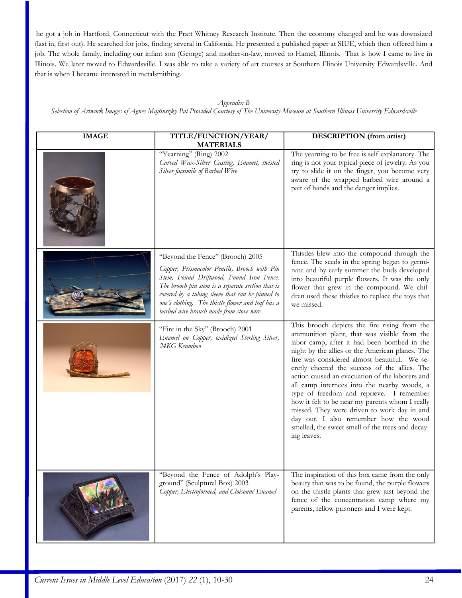he got a job in Hartford, Connecticut with the Pratt Whitney Research Institute. Then the economy changed and he was downsized (last in, first out). He searched for jobs, finding several in California. He presented a published paper at SIUE, which then offered him a job. The whole family, including our infant son (George) and mother-in-law, moved to Hamel, Illinois. That is how I came to live in Illinois. We later moved to Edwardsville. I was able to take a variety of art courses at Southern Illinois University Edwardsville. And that is when I became interested in metalsmithing.

#### *Appendix B*

*Selection of Artwork Images of Agnes Majtinszky Pal Provided Courtesy of The University Museum at Southern Illinois University Edwardsville*

| <b>IMAGE</b> | TITLE/FUNCTION/YEAR/<br><b>MATERIALS</b>                                                                                                                                                                                                                                                                                               | DESCRIPTION (from artist)                                                                                                                                                                                                                                                                                                                                                                                                                                                                                                                                                                                                                                  |
|--------------|----------------------------------------------------------------------------------------------------------------------------------------------------------------------------------------------------------------------------------------------------------------------------------------------------------------------------------------|------------------------------------------------------------------------------------------------------------------------------------------------------------------------------------------------------------------------------------------------------------------------------------------------------------------------------------------------------------------------------------------------------------------------------------------------------------------------------------------------------------------------------------------------------------------------------------------------------------------------------------------------------------|
|              | "Yearning" (Ring) 2002<br>Carved Wax-Silver Casting, Enamel, twisted<br>Silver facsimile of Barbed Wire                                                                                                                                                                                                                                | The yearning to be free is self-explanatory. The<br>ring is not your typical piece of jewelry. As you<br>try to slide it on the finger, you become very<br>aware of the wrapped barbed wire around a<br>pair of hands and the danger implies.                                                                                                                                                                                                                                                                                                                                                                                                              |
|              | "Beyond the Fence" (Brooch) 2005<br>Copper, Prismacolor Pencils, Brooch with Pin<br>Stem, Found Driftwood, Found Iron Fence.<br>The brooch pin stem is a separate section that is<br>covered by a tubing sleeve that can be pinned to<br>one's clothing. The thistle flower and leaf has a<br>barbed wire branch made from stove wire. | Thistles blew into the compound through the<br>fence. The seeds in the spring began to germi-<br>nate and by early summer the buds developed<br>into beautiful purple flowers. It was the only<br>flower that grew in the compound. We chil-<br>dren used these thistles to replace the toys that<br>we missed.                                                                                                                                                                                                                                                                                                                                            |
|              | "Fire in the Sky" (Brooch) 2001<br>Enamel on Copper, oxidized Sterling Silver,<br>24KG Keumboo                                                                                                                                                                                                                                         | This brooch depicts the fire rising from the<br>ammunition plant, that was visible from the<br>labor camp, after it had been bombed in the<br>night by the allies or the American planes. The<br>fire was considered almost beautiful. We se-<br>cretly cheered the success of the allies. The<br>action caused an evacuation of the laborers and<br>all camp internees into the nearby woods, a<br>type of freedom and reprieve. I remember<br>how it felt to be near my parents whom I really<br>missed. They were driven to work day in and<br>day out. I also remember how the wood<br>smelled, the sweet smell of the trees and decay-<br>ing leaves. |
|              | "Beyond the Fence of Adolph's Play-<br>ground" (Sculptural Box) 2003<br>Copper, Electroformed, and Cloisonné Enamel                                                                                                                                                                                                                    | The inspiration of this box came from the only<br>beauty that was to be found, the purple flowers<br>on the thistle plants that grew just beyond the<br>fence of the concentration camp where my<br>parents, fellow prisoners and I were kept.                                                                                                                                                                                                                                                                                                                                                                                                             |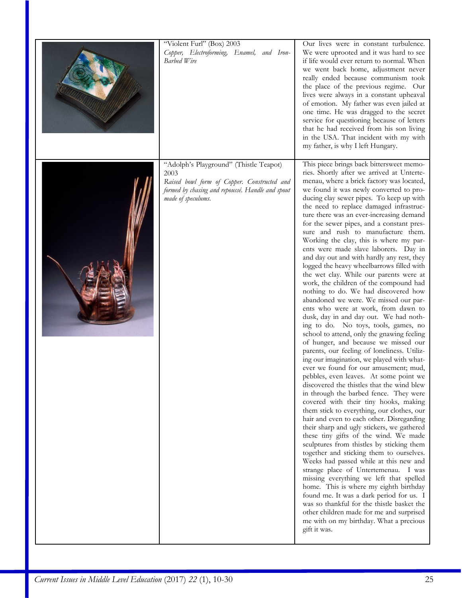| "Violent Furl" (Box) 2003<br>Copper, Electroforming, Enamel, and Iron-<br>Barbed Wire                                                                                   | Our lives were in constant turbulence.<br>We were uprooted and it was hard to see<br>if life would ever return to normal. When<br>we went back home, adjustment never<br>really ended because communism took<br>the place of the previous regime. Our<br>lives were always in a constant upheaval<br>of emotion. My father was even jailed at<br>one time. He was dragged to the secret<br>service for questioning because of letters<br>that he had received from his son living<br>in the USA. That incident with my with<br>my father, is why I left Hungary.                                                                                                                                                                                                                                                                                                                                                                                                                                                                                                                                                                                                                                                                                                                                                                                                                                                                                                                                                                                                                                                                                                                                                                                                                                                                                                                                                                            |
|-------------------------------------------------------------------------------------------------------------------------------------------------------------------------|---------------------------------------------------------------------------------------------------------------------------------------------------------------------------------------------------------------------------------------------------------------------------------------------------------------------------------------------------------------------------------------------------------------------------------------------------------------------------------------------------------------------------------------------------------------------------------------------------------------------------------------------------------------------------------------------------------------------------------------------------------------------------------------------------------------------------------------------------------------------------------------------------------------------------------------------------------------------------------------------------------------------------------------------------------------------------------------------------------------------------------------------------------------------------------------------------------------------------------------------------------------------------------------------------------------------------------------------------------------------------------------------------------------------------------------------------------------------------------------------------------------------------------------------------------------------------------------------------------------------------------------------------------------------------------------------------------------------------------------------------------------------------------------------------------------------------------------------------------------------------------------------------------------------------------------------|
| "Adolph's Playground" (Thistle Teapot)<br>2003<br>Raised bowl form of Copper. Constructed and<br>formed by chasing and repoussé. Handle and spout<br>made of speculums. | This piece brings back bittersweet memo-<br>ries. Shortly after we arrived at Unterte-<br>menau, where a brick factory was located,<br>we found it was newly converted to pro-<br>ducing clay sewer pipes. To keep up with<br>the need to replace damaged infrastruc-<br>ture there was an ever-increasing demand<br>for the sewer pipes, and a constant pres-<br>sure and rush to manufacture them.<br>Working the clay, this is where my par-<br>ents were made slave laborers. Day in<br>and day out and with hardly any rest, they<br>logged the heavy wheelbarrows filled with<br>the wet clay. While our parents were at<br>work, the children of the compound had<br>nothing to do. We had discovered how<br>abandoned we were. We missed our par-<br>ents who were at work, from dawn to<br>dusk, day in and day out. We had noth-<br>ing to do. No toys, tools, games, no<br>school to attend, only the gnawing feeling<br>of hunger, and because we missed our<br>parents, our feeling of loneliness. Utiliz-<br>ing our imagination, we played with what-<br>ever we found for our amusement; mud,<br>pebbles, even leaves. At some point we<br>discovered the thistles that the wind blew<br>in through the barbed fence. They were<br>covered with their tiny hooks, making<br>them stick to everything, our clothes, our<br>hair and even to each other. Disregarding<br>their sharp and ugly stickers, we gathered<br>these tiny gifts of the wind. We made<br>sculptures from thistles by sticking them<br>together and sticking them to ourselves.<br>Weeks had passed while at this new and<br>strange place of Untertemenau. I was<br>missing everything we left that spelled<br>home. This is where my eighth birthday<br>found me. It was a dark period for us. I<br>was so thankful for the thistle basket the<br>other children made for me and surprised<br>me with on my birthday. What a precious<br>gift it was. |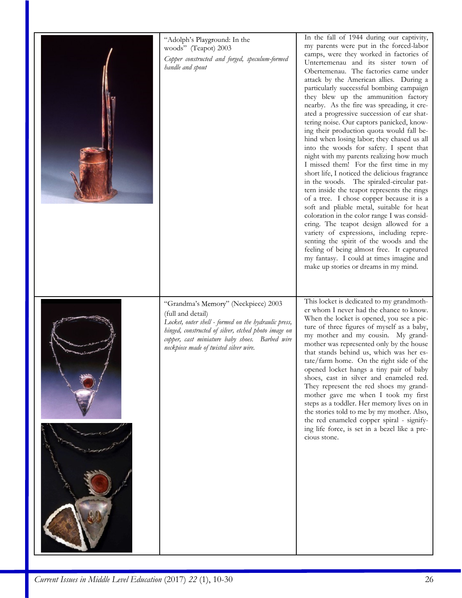| "Adolph's Playground: In the<br>woods" (Teapot) 2003<br>Copper constructed and forged, speculum-formed<br>handle and spout                                                                                                                                           | In the fall of 1944 during our captivity,<br>my parents were put in the forced-labor<br>camps, were they worked in factories of<br>Untertemenau and its sister town of<br>Obertemenau. The factories came under<br>attack by the American allies. During a<br>particularly successful bombing campaign<br>they blew up the ammunition factory<br>nearby. As the fire was spreading, it cre-<br>ated a progressive succession of ear shat-<br>tering noise. Our captors panicked, know-<br>ing their production quota would fall be-<br>hind when losing labor; they chased us all<br>into the woods for safety. I spent that<br>night with my parents realizing how much<br>I missed them! For the first time in my<br>short life, I noticed the delicious fragrance<br>in the woods. The spiraled-circular pat-<br>tern inside the teapot represents the rings<br>of a tree. I chose copper because it is a<br>soft and pliable metal, suitable for heat<br>coloration in the color range I was consid-<br>ering. The teapot design allowed for a<br>variety of expressions, including repre-<br>senting the spirit of the woods and the<br>feeling of being almost free. It captured<br>my fantasy. I could at times imagine and<br>make up stories or dreams in my mind. |
|----------------------------------------------------------------------------------------------------------------------------------------------------------------------------------------------------------------------------------------------------------------------|-----------------------------------------------------------------------------------------------------------------------------------------------------------------------------------------------------------------------------------------------------------------------------------------------------------------------------------------------------------------------------------------------------------------------------------------------------------------------------------------------------------------------------------------------------------------------------------------------------------------------------------------------------------------------------------------------------------------------------------------------------------------------------------------------------------------------------------------------------------------------------------------------------------------------------------------------------------------------------------------------------------------------------------------------------------------------------------------------------------------------------------------------------------------------------------------------------------------------------------------------------------------------------|
| "Grandma's Memory" (Neckpiece) 2003<br>(full and detail)<br>Locket, outer shell - formed on the hydraulic press,<br>hinged, constructed of silver, etched photo image on<br>copper, cast miniature baby shoes. Barbed wire<br>neckpiece made of twisted silver wire. | This locket is dedicated to my grandmoth-<br>er whom I never had the chance to know.<br>When the locket is opened, you see a pic-<br>ture of three figures of myself as a baby,<br>my mother and my cousin. My grand-<br>mother was represented only by the house<br>that stands behind us, which was her es-<br>tate/farm home. On the right side of the<br>opened locket hangs a tiny pair of baby<br>shoes, cast in silver and enameled red.<br>They represent the red shoes my grand-<br>mother gave me when I took my first<br>steps as a toddler. Her memory lives on in<br>the stories told to me by my mother. Also,<br>the red enameled copper spiral - signify-<br>ing life force, is set in a bezel like a pre-<br>cious stone.                                                                                                                                                                                                                                                                                                                                                                                                                                                                                                                                  |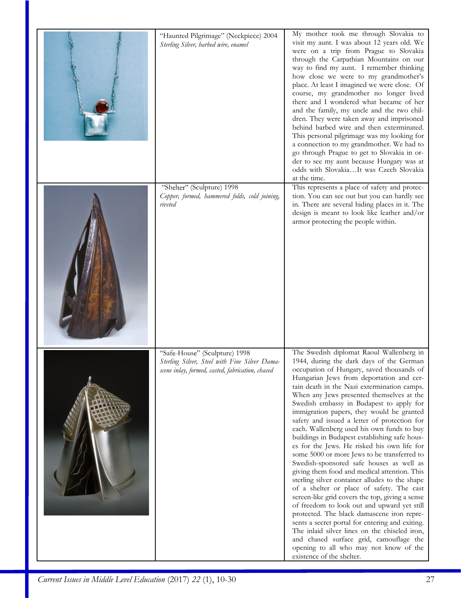| "Haunted Pilgrimage" (Neckpiece) 2004<br>Sterling Silver, barbed wire, enamel                                                      | My mother took me through Slovakia to<br>visit my aunt. I was about 12 years old. We<br>were on a trip from Prague to Slovakia<br>through the Carpathian Mountains on our<br>way to find my aunt. I remember thinking<br>how close we were to my grandmother's<br>place. At least I imagined we were close. Of<br>course, my grandmother no longer lived<br>there and I wondered what became of her<br>and the family, my uncle and the two chil-<br>dren. They were taken away and imprisoned<br>behind barbed wire and then exterminated.<br>This personal pilgrimage was my looking for<br>a connection to my grandmother. We had to<br>go through Prague to get to Slovakia in or-<br>der to see my aunt because Hungary was at<br>odds with SlovakiaIt was Czech Slovakia<br>at the time.                                                                                                                                                                                                                                                                                                                                                                                   |
|------------------------------------------------------------------------------------------------------------------------------------|----------------------------------------------------------------------------------------------------------------------------------------------------------------------------------------------------------------------------------------------------------------------------------------------------------------------------------------------------------------------------------------------------------------------------------------------------------------------------------------------------------------------------------------------------------------------------------------------------------------------------------------------------------------------------------------------------------------------------------------------------------------------------------------------------------------------------------------------------------------------------------------------------------------------------------------------------------------------------------------------------------------------------------------------------------------------------------------------------------------------------------------------------------------------------------|
| "Shelter" (Sculpture) 1998<br>Copper, formed, hammered folds, cold joining,<br>riveted                                             | This represents a place of safety and protec-<br>tion. You can see out but you can hardly see<br>in. There are several hiding places in it. The<br>design is meant to look like leather and/or<br>armor protecting the people within.                                                                                                                                                                                                                                                                                                                                                                                                                                                                                                                                                                                                                                                                                                                                                                                                                                                                                                                                            |
| "Safe-House" (Sculpture) 1998<br>Sterling Silver, Steel with Fine Silver Dama-<br>scene inlay, formed, casted, fabrication, chased | The Swedish diplomat Raoul Wallenberg in<br>1944, during the dark days of the German<br>occupation of Hungary, saved thousands of<br>Hungarian Jews from deportation and cer-<br>tain death in the Nazi extermination camps.<br>When any Jews presented themselves at the<br>Swedish embassy in Budapest to apply for<br>immigration papers, they would be granted<br>safety and issued a letter of protection for<br>each. Wallenberg used his own funds to buy<br>buildings in Budapest establishing safe hous-<br>es for the Jews. He risked his own life for<br>some 5000 or more Jews to be transferred to<br>Swedish-sponsored safe houses as well as<br>giving them food and medical attention. This<br>sterling silver container alludes to the shape<br>of a shelter or place of safety. The cast<br>screen-like grid covers the top, giving a sense<br>of freedom to look out and upward yet still<br>protected. The black damascene iron repre-<br>sents a secret portal for entering and exiting.<br>The inlaid silver lines on the chiseled iron,<br>and chased surface grid, camouflage the<br>opening to all who may not know of the<br>existence of the shelter. |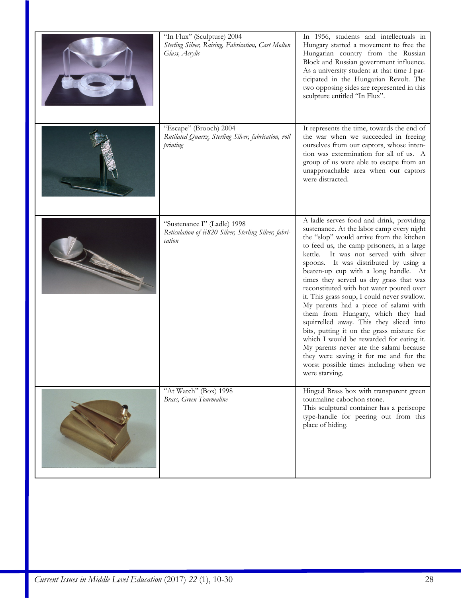| "In Flux" (Sculpture) 2004<br>Sterling Silver, Raising, Fabrication, Cast Molten<br>Glass, Acrylic | In 1956, students and intellectuals in<br>Hungary started a movement to free the<br>Hungarian country from the Russian<br>Block and Russian government influence.<br>As a university student at that time I par-<br>ticipated in the Hungarian Revolt. The<br>two opposing sides are represented in this<br>sculpture entitled "In Flux".                                                                                                                                                                                                                                                                                                                                                                                                                                                                          |
|----------------------------------------------------------------------------------------------------|--------------------------------------------------------------------------------------------------------------------------------------------------------------------------------------------------------------------------------------------------------------------------------------------------------------------------------------------------------------------------------------------------------------------------------------------------------------------------------------------------------------------------------------------------------------------------------------------------------------------------------------------------------------------------------------------------------------------------------------------------------------------------------------------------------------------|
| "Escape" (Brooch) 2004<br>Rutilated Quartz, Sterling Silver, fabrication, roll<br>printing         | It represents the time, towards the end of<br>the war when we succeeded in freeing<br>ourselves from our captors, whose inten-<br>tion was extermination for all of us. A<br>group of us were able to escape from an<br>unapproachable area when our captors<br>were distracted.                                                                                                                                                                                                                                                                                                                                                                                                                                                                                                                                   |
| "Sustenance I" (Ladle) 1998<br>Reticulation of #820 Silver, Sterling Silver, fabri-<br>cation      | A ladle serves food and drink, providing<br>sustenance. At the labor camp every night<br>the "slop" would arrive from the kitchen<br>to feed us, the camp prisoners, in a large<br>kettle. It was not served with silver<br>spoons. It was distributed by using a<br>beaten-up cup with a long handle. At<br>times they served us dry grass that was<br>reconstituted with hot water poured over<br>it. This grass soup, I could never swallow.<br>My parents had a piece of salami with<br>them from Hungary, which they had<br>squirrelled away. This they sliced into<br>bits, putting it on the grass mixture for<br>which I would be rewarded for eating it.<br>My parents never ate the salami because<br>they were saving it for me and for the<br>worst possible times including when we<br>were starving. |
| "At Watch" (Box) 1998<br>Brass, Green Tourmaline                                                   | Hinged Brass box with transparent green<br>tourmaline cabochon stone.<br>This sculptural container has a periscope<br>type-handle for peering out from this<br>place of hiding.                                                                                                                                                                                                                                                                                                                                                                                                                                                                                                                                                                                                                                    |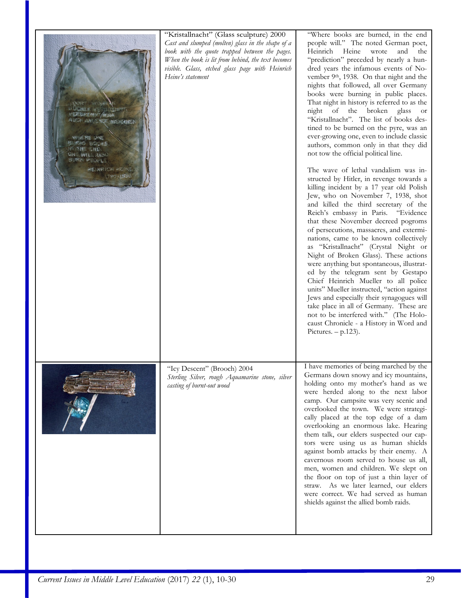| WASHING<br><b>A BASE AND A MAIN</b><br>AUCH AN ENGENHANGER<br><b>WINDOWS IN A COL</b><br>BURG PEUPL<br>HEJNRICH HEINE<br>SATURA ABRIGAN | "Kristallnacht" (Glass sculpture) 2000<br>Cast and slumped (molten) glass in the shape of a<br>book with the quote trapped between the pages.<br>When the book is lit from behind, the text becomes<br>visible. Glass, etched glass page with Heinrich<br>Heine's statement | "Where books are burned, in the end<br>people will." The noted German poet,<br>Heinrich<br>Heine<br>wrote<br>and<br>the<br>"prediction" preceded by nearly a hun-<br>dred years the infamous events of No-<br>vember 9 <sup>th</sup> , 1938. On that night and the<br>nights that followed, all over Germany<br>books were burning in public places.<br>That night in history is referred to as the<br>night of the broken glass or<br>"Kristallnacht". The list of books des-<br>tined to be burned on the pyre, was an<br>ever-growing one, even to include classic<br>authors, common only in that they did<br>not tow the official political line.<br>The wave of lethal vandalism was in-<br>structed by Hitler, in revenge towards a<br>killing incident by a 17 year old Polish<br>Jew, who on November 7, 1938, shot<br>and killed the third secretary of the<br>Reich's embassy in Paris. "Evidence<br>that these November decreed pogroms<br>of persecutions, massacres, and extermi-<br>nations, came to be known collectively<br>as "Kristallnacht" (Crystal Night or<br>Night of Broken Glass). These actions<br>were anything but spontaneous, illustrat-<br>ed by the telegram sent by Gestapo<br>Chief Heinrich Mueller to all police<br>units" Mueller instructed, "action against<br>Jews and especially their synagogues will<br>take place in all of Germany. These are<br>not to be interfered with." (The Holo-<br>caust Chronicle - a History in Word and<br>Pictures. $- p.123$ ). |
|-----------------------------------------------------------------------------------------------------------------------------------------|-----------------------------------------------------------------------------------------------------------------------------------------------------------------------------------------------------------------------------------------------------------------------------|------------------------------------------------------------------------------------------------------------------------------------------------------------------------------------------------------------------------------------------------------------------------------------------------------------------------------------------------------------------------------------------------------------------------------------------------------------------------------------------------------------------------------------------------------------------------------------------------------------------------------------------------------------------------------------------------------------------------------------------------------------------------------------------------------------------------------------------------------------------------------------------------------------------------------------------------------------------------------------------------------------------------------------------------------------------------------------------------------------------------------------------------------------------------------------------------------------------------------------------------------------------------------------------------------------------------------------------------------------------------------------------------------------------------------------------------------------------------------------------------------------|
|                                                                                                                                         | "Icy Descent" (Brooch) 2004<br>Sterling Silver, rough Aquamarine stone, silver<br>casting of burnt-out wood                                                                                                                                                                 | I have memories of being marched by the<br>Germans down snowy and icy mountains,<br>holding onto my mother's hand as we<br>were herded along to the next labor<br>camp. Our campsite was very scenic and<br>overlooked the town. We were strategi-<br>cally placed at the top edge of a dam<br>overlooking an enormous lake. Hearing<br>them talk, our elders suspected our cap-<br>tors were using us as human shields<br>against bomb attacks by their enemy. A<br>cavernous room served to house us all,<br>men, women and children. We slept on<br>the floor on top of just a thin layer of<br>straw. As we later learned, our elders<br>were correct. We had served as human<br>shields against the allied bomb raids.                                                                                                                                                                                                                                                                                                                                                                                                                                                                                                                                                                                                                                                                                                                                                                                |